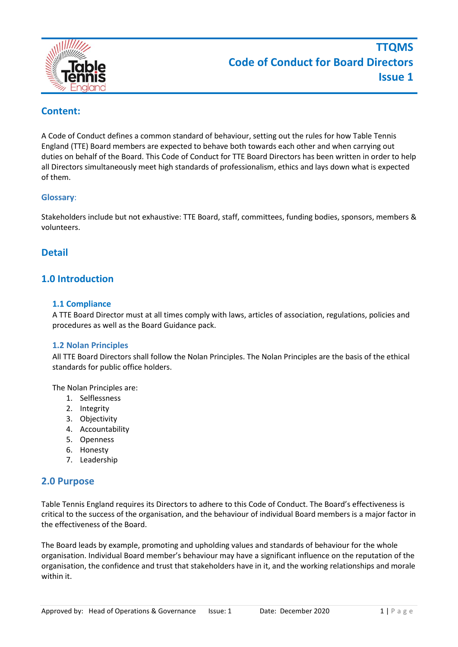

# **Content:**

A Code of Conduct defines a common standard of behaviour, setting out the rules for how Table Tennis England (TTE) Board members are expected to behave both towards each other and when carrying out duties on behalf of the Board. This Code of Conduct for TTE Board Directors has been written in order to help all Directors simultaneously meet high standards of professionalism, ethics and lays down what is expected of them.

#### **Glossary**:

Stakeholders include but not exhaustive: TTE Board, staff, committees, funding bodies, sponsors, members & volunteers.

### **Detail**

# **1.0 Introduction**

#### **1.1 Compliance**

A TTE Board Director must at all times comply with laws, articles of association, regulations, policies and procedures as well as the Board Guidance pack.

#### **1.2 Nolan Principles**

All TTE Board Directors shall follow the Nolan Principles. The Nolan Principles are the basis of the ethical standards for public office holders.

The Nolan Principles are:

- 1. Selflessness
- 2. Integrity
- 3. Objectivity
- 4. Accountability
- 5. Openness
- 6. Honesty
- 7. Leadership

#### **2.0 Purpose**

Table Tennis England requires its Directors to adhere to this Code of Conduct. The Board's effectiveness is critical to the success of the organisation, and the behaviour of individual Board members is a major factor in the effectiveness of the Board.

The Board leads by example, promoting and upholding values and standards of behaviour for the whole organisation. Individual Board member's behaviour may have a significant influence on the reputation of the organisation, the confidence and trust that stakeholders have in it, and the working relationships and morale within it.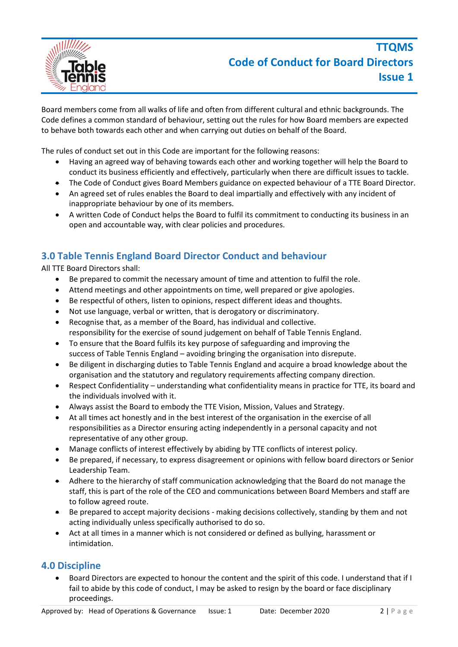

Board members come from all walks of life and often from different cultural and ethnic backgrounds. The Code defines a common standard of behaviour, setting out the rules for how Board members are expected to behave both towards each other and when carrying out duties on behalf of the Board.

The rules of conduct set out in this Code are important for the following reasons:

- Having an agreed way of behaving towards each other and working together will help the Board to conduct its business efficiently and effectively, particularly when there are difficult issues to tackle.
- The Code of Conduct gives Board Members guidance on expected behaviour of a TTE Board Director.
- An agreed set of rules enables the Board to deal impartially and effectively with any incident of inappropriate behaviour by one of its members.
- A written Code of Conduct helps the Board to fulfil its commitment to conducting its business in an open and accountable way, with clear policies and procedures.

# **3.0 Table Tennis England Board Director Conduct and behaviour**

All TTE Board Directors shall:

- Be prepared to commit the necessary amount of time and attention to fulfil the role.
- Attend meetings and other appointments on time, well prepared or give apologies.
- Be respectful of others, listen to opinions, respect different ideas and thoughts.
- Not use language, verbal or written, that is derogatory or discriminatory.
- Recognise that, as a member of the Board, has individual and collective. responsibility for the exercise of sound judgement on behalf of Table Tennis England.
- To ensure that the Board fulfils its key purpose of safeguarding and improving the success of Table Tennis England – avoiding bringing the organisation into disrepute.
- Be diligent in discharging duties to Table Tennis England and acquire a broad knowledge about the organisation and the statutory and regulatory requirements affecting company direction.
- Respect Confidentiality understanding what confidentiality means in practice for TTE, its board and the individuals involved with it.
- Always assist the Board to embody the TTE Vision, Mission, Values and Strategy.
- At all times act honestly and in the best interest of the organisation in the exercise of all responsibilities as a Director ensuring acting independently in a personal capacity and not representative of any other group.
- Manage conflicts of interest effectively by abiding by TTE conflicts of interest policy.
- Be prepared, if necessary, to express disagreement or opinions with fellow board directors or Senior Leadership Team.
- Adhere to the hierarchy of staff communication acknowledging that the Board do not manage the staff, this is part of the role of the CEO and communications between Board Members and staff are to follow agreed route.
- Be prepared to accept majority decisions making decisions collectively, standing by them and not acting individually unless specifically authorised to do so.
- Act at all times in a manner which is not considered or defined as bullying, harassment or intimidation.

#### **4.0 Discipline**

• Board Directors are expected to honour the content and the spirit of this code. I understand that if I fail to abide by this code of conduct, I may be asked to resign by the board or face disciplinary proceedings.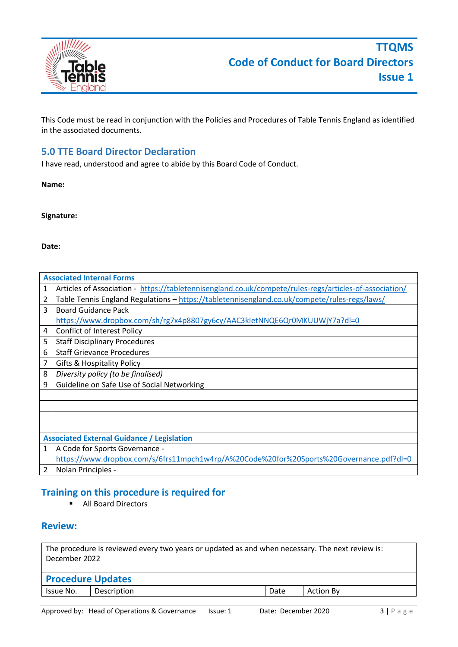

This Code must be read in conjunction with the Policies and Procedures of Table Tennis England as identified in the associated documents.

# **5.0 TTE Board Director Declaration**

I have read, understood and agree to abide by this Board Code of Conduct.

**Name:**

**Signature:**

#### **Date:**

|                | <b>Associated Internal Forms</b>                                                                       |  |  |  |  |
|----------------|--------------------------------------------------------------------------------------------------------|--|--|--|--|
| 1              | Articles of Association - https://tabletennisengland.co.uk/compete/rules-regs/articles-of-association/ |  |  |  |  |
| $\overline{2}$ | Table Tennis England Regulations - https://tabletennisengland.co.uk/compete/rules-regs/laws/           |  |  |  |  |
| 3              | <b>Board Guidance Pack</b>                                                                             |  |  |  |  |
|                | https://www.dropbox.com/sh/rg7x4p8807gy6cy/AAC3kletNNQE6Qr0MKUUWjY7a?dl=0                              |  |  |  |  |
| 4              | <b>Conflict of Interest Policy</b>                                                                     |  |  |  |  |
| 5              | <b>Staff Disciplinary Procedures</b>                                                                   |  |  |  |  |
| 6              | <b>Staff Grievance Procedures</b>                                                                      |  |  |  |  |
| $\overline{7}$ | Gifts & Hospitality Policy                                                                             |  |  |  |  |
| 8              | Diversity policy (to be finalised)                                                                     |  |  |  |  |
| 9              | Guideline on Safe Use of Social Networking                                                             |  |  |  |  |
|                |                                                                                                        |  |  |  |  |
|                |                                                                                                        |  |  |  |  |
|                |                                                                                                        |  |  |  |  |
|                |                                                                                                        |  |  |  |  |
|                | <b>Associated External Guidance / Legislation</b>                                                      |  |  |  |  |
| $\mathbf{1}$   | A Code for Sports Governance -                                                                         |  |  |  |  |
|                | https://www.dropbox.com/s/6frs11mpch1w4rp/A%20Code%20for%20Sports%20Governance.pdf?dl=0                |  |  |  |  |
| $\overline{2}$ | Nolan Principles -                                                                                     |  |  |  |  |

# **Training on this procedure is required for**

■ All Board Directors

### **Review:**

The procedure is reviewed every two years or updated as and when necessary. The next review is: December 2022 **Procedure Updates** Issue No. | Description | Date | Action By